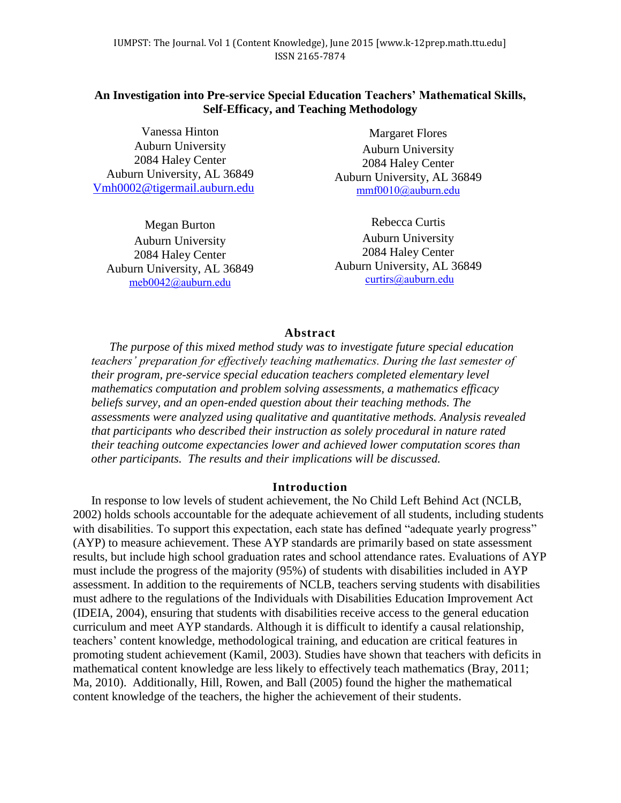# **An Investigation into Pre-service Special Education Teachers' Mathematical Skills, Self-Efficacy, and Teaching Methodology**

Vanessa Hinton Auburn University 2084 Haley Center Auburn University, AL 36849 [Vmh0002@tigermail.auburn.edu](mailto:Vmh0002@tigermail.auburn.edu)

Megan Burton Auburn University 2084 Haley Center Auburn University, AL 36849 [meb0042@auburn.edu](mailto:meb0042@auburn.edu)

Margaret Flores Auburn University 2084 Haley Center Auburn University, AL 36849 [mmf0010@auburn.edu](mailto:mmf0010@auburn.edu)

Rebecca Curtis Auburn University 2084 Haley Center Auburn University, AL 36849 [curtirs@auburn.edu](mailto:curtirs@auburn.edu)

### **Abstract**

*The purpose of this mixed method study was to investigate future special education teachers' preparation for effectively teaching mathematics. During the last semester of their program, pre-service special education teachers completed elementary level mathematics computation and problem solving assessments, a mathematics efficacy beliefs survey, and an open-ended question about their teaching methods. The assessments were analyzed using qualitative and quantitative methods. Analysis revealed that participants who described their instruction as solely procedural in nature rated their teaching outcome expectancies lower and achieved lower computation scores than other participants. The results and their implications will be discussed.*

## **Introduction**

In response to low levels of student achievement, the No Child Left Behind Act (NCLB, 2002) holds schools accountable for the adequate achievement of all students, including students with disabilities. To support this expectation, each state has defined "adequate yearly progress" (AYP) to measure achievement. These AYP standards are primarily based on state assessment results, but include high school graduation rates and school attendance rates. Evaluations of AYP must include the progress of the majority (95%) of students with disabilities included in AYP assessment. In addition to the requirements of NCLB, teachers serving students with disabilities must adhere to the regulations of the Individuals with Disabilities Education Improvement Act (IDEIA, 2004), ensuring that students with disabilities receive access to the general education curriculum and meet AYP standards. Although it is difficult to identify a causal relationship, teachers' content knowledge, methodological training, and education are critical features in promoting student achievement (Kamil, 2003). Studies have shown that teachers with deficits in mathematical content knowledge are less likely to effectively teach mathematics (Bray, 2011; Ma, 2010). Additionally, Hill, Rowen, and Ball (2005) found the higher the mathematical content knowledge of the teachers, the higher the achievement of their students.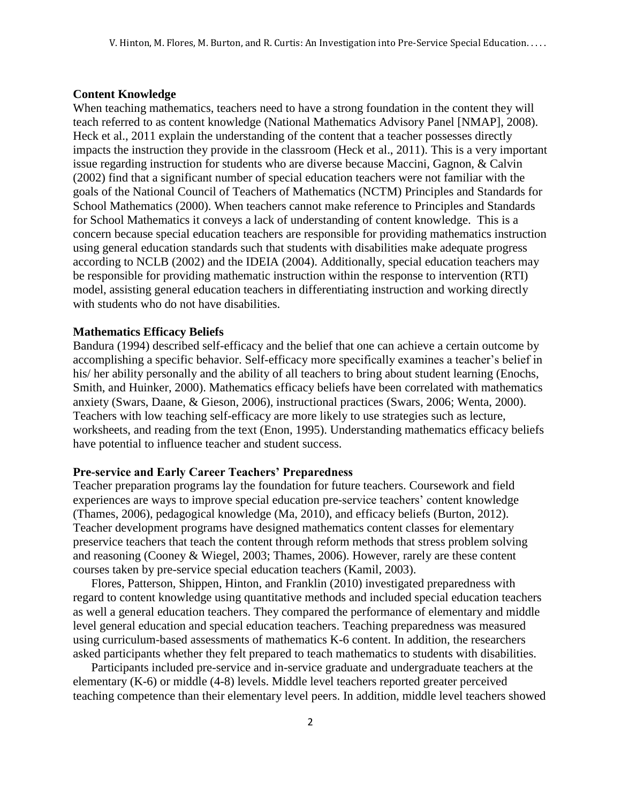### **Content Knowledge**

When teaching mathematics, teachers need to have a strong foundation in the content they will teach referred to as content knowledge (National Mathematics Advisory Panel [NMAP], 2008). Heck et al., 2011 explain the understanding of the content that a teacher possesses directly impacts the instruction they provide in the classroom (Heck et al., 2011). This is a very important issue regarding instruction for students who are diverse because Maccini, Gagnon, & Calvin (2002) find that a significant number of special education teachers were not familiar with the goals of the National Council of Teachers of Mathematics (NCTM) Principles and Standards for School Mathematics (2000). When teachers cannot make reference to Principles and Standards for School Mathematics it conveys a lack of understanding of content knowledge. This is a concern because special education teachers are responsible for providing mathematics instruction using general education standards such that students with disabilities make adequate progress according to NCLB (2002) and the IDEIA (2004). Additionally, special education teachers may be responsible for providing mathematic instruction within the response to intervention (RTI) model, assisting general education teachers in differentiating instruction and working directly with students who do not have disabilities.

### **Mathematics Efficacy Beliefs**

Bandura (1994) described self-efficacy and the belief that one can achieve a certain outcome by accomplishing a specific behavior. Self-efficacy more specifically examines a teacher's belief in his/ her ability personally and the ability of all teachers to bring about student learning (Enochs, Smith, and Huinker, 2000). Mathematics efficacy beliefs have been correlated with mathematics anxiety (Swars, Daane, & Gieson, 2006), instructional practices (Swars, 2006; Wenta, 2000). Teachers with low teaching self-efficacy are more likely to use strategies such as lecture, worksheets, and reading from the text (Enon, 1995). Understanding mathematics efficacy beliefs have potential to influence teacher and student success.

## **Pre-service and Early Career Teachers' Preparedness**

Teacher preparation programs lay the foundation for future teachers. Coursework and field experiences are ways to improve special education pre-service teachers' content knowledge (Thames, 2006), pedagogical knowledge (Ma, 2010), and efficacy beliefs (Burton, 2012). Teacher development programs have designed mathematics content classes for elementary preservice teachers that teach the content through reform methods that stress problem solving and reasoning (Cooney & Wiegel, 2003; Thames, 2006). However, rarely are these content courses taken by pre-service special education teachers (Kamil, 2003).

Flores, Patterson, Shippen, Hinton, and Franklin (2010) investigated preparedness with regard to content knowledge using quantitative methods and included special education teachers as well a general education teachers. They compared the performance of elementary and middle level general education and special education teachers. Teaching preparedness was measured using curriculum-based assessments of mathematics K-6 content. In addition, the researchers asked participants whether they felt prepared to teach mathematics to students with disabilities.

Participants included pre-service and in-service graduate and undergraduate teachers at the elementary (K-6) or middle (4-8) levels. Middle level teachers reported greater perceived teaching competence than their elementary level peers. In addition, middle level teachers showed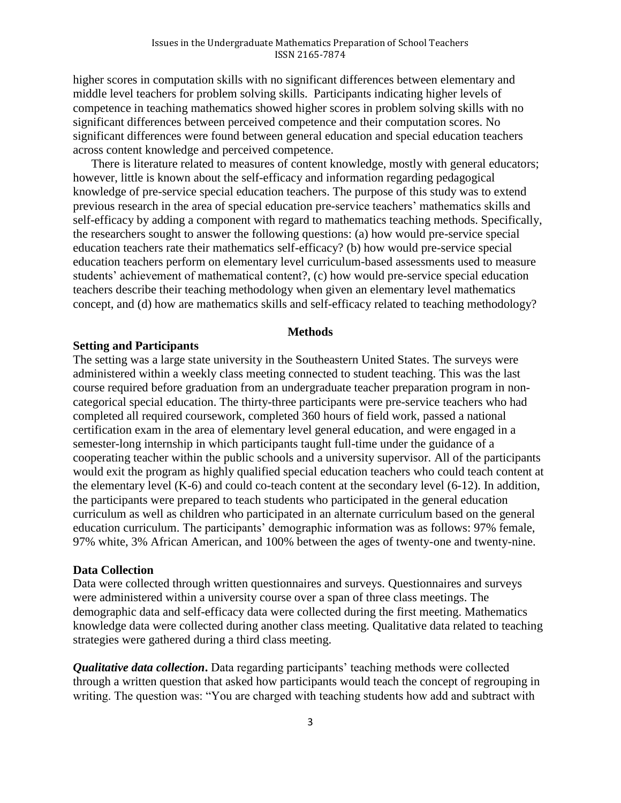higher scores in computation skills with no significant differences between elementary and middle level teachers for problem solving skills. Participants indicating higher levels of competence in teaching mathematics showed higher scores in problem solving skills with no significant differences between perceived competence and their computation scores. No significant differences were found between general education and special education teachers across content knowledge and perceived competence.

There is literature related to measures of content knowledge, mostly with general educators; however, little is known about the self-efficacy and information regarding pedagogical knowledge of pre-service special education teachers. The purpose of this study was to extend previous research in the area of special education pre-service teachers' mathematics skills and self-efficacy by adding a component with regard to mathematics teaching methods. Specifically, the researchers sought to answer the following questions: (a) how would pre-service special education teachers rate their mathematics self-efficacy? (b) how would pre-service special education teachers perform on elementary level curriculum-based assessments used to measure students' achievement of mathematical content?, (c) how would pre-service special education teachers describe their teaching methodology when given an elementary level mathematics concept, and (d) how are mathematics skills and self-efficacy related to teaching methodology?

### **Methods**

## **Setting and Participants**

The setting was a large state university in the Southeastern United States. The surveys were administered within a weekly class meeting connected to student teaching. This was the last course required before graduation from an undergraduate teacher preparation program in noncategorical special education. The thirty-three participants were pre-service teachers who had completed all required coursework, completed 360 hours of field work, passed a national certification exam in the area of elementary level general education, and were engaged in a semester-long internship in which participants taught full-time under the guidance of a cooperating teacher within the public schools and a university supervisor. All of the participants would exit the program as highly qualified special education teachers who could teach content at the elementary level (K-6) and could co-teach content at the secondary level (6-12). In addition, the participants were prepared to teach students who participated in the general education curriculum as well as children who participated in an alternate curriculum based on the general education curriculum. The participants' demographic information was as follows: 97% female, 97% white, 3% African American, and 100% between the ages of twenty-one and twenty-nine.

### **Data Collection**

Data were collected through written questionnaires and surveys. Questionnaires and surveys were administered within a university course over a span of three class meetings. The demographic data and self-efficacy data were collected during the first meeting. Mathematics knowledge data were collected during another class meeting. Qualitative data related to teaching strategies were gathered during a third class meeting.

*Qualitative data collection***.** Data regarding participants' teaching methods were collected through a written question that asked how participants would teach the concept of regrouping in writing. The question was: "You are charged with teaching students how add and subtract with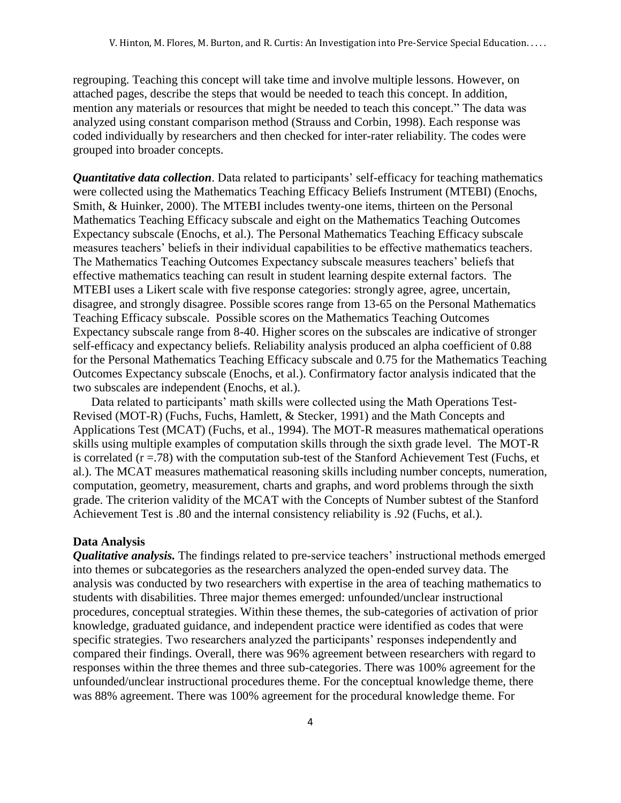regrouping. Teaching this concept will take time and involve multiple lessons. However, on attached pages, describe the steps that would be needed to teach this concept. In addition, mention any materials or resources that might be needed to teach this concept." The data was analyzed using constant comparison method (Strauss and Corbin, 1998). Each response was coded individually by researchers and then checked for inter-rater reliability. The codes were grouped into broader concepts.

*Quantitative data collection*. Data related to participants' self-efficacy for teaching mathematics were collected using the Mathematics Teaching Efficacy Beliefs Instrument (MTEBI) (Enochs, Smith, & Huinker, 2000). The MTEBI includes twenty-one items, thirteen on the Personal Mathematics Teaching Efficacy subscale and eight on the Mathematics Teaching Outcomes Expectancy subscale (Enochs, et al.). The Personal Mathematics Teaching Efficacy subscale measures teachers' beliefs in their individual capabilities to be effective mathematics teachers. The Mathematics Teaching Outcomes Expectancy subscale measures teachers' beliefs that effective mathematics teaching can result in student learning despite external factors. The MTEBI uses a Likert scale with five response categories: strongly agree, agree, uncertain, disagree, and strongly disagree. Possible scores range from 13-65 on the Personal Mathematics Teaching Efficacy subscale. Possible scores on the Mathematics Teaching Outcomes Expectancy subscale range from 8-40. Higher scores on the subscales are indicative of stronger self-efficacy and expectancy beliefs. Reliability analysis produced an alpha coefficient of 0.88 for the Personal Mathematics Teaching Efficacy subscale and 0.75 for the Mathematics Teaching Outcomes Expectancy subscale (Enochs, et al.). Confirmatory factor analysis indicated that the two subscales are independent (Enochs, et al.).

Data related to participants' math skills were collected using the Math Operations Test-Revised (MOT-R) (Fuchs, Fuchs, Hamlett, & Stecker, 1991) and the Math Concepts and Applications Test (MCAT) (Fuchs, et al., 1994). The MOT-R measures mathematical operations skills using multiple examples of computation skills through the sixth grade level. The MOT-R is correlated  $(r = .78)$  with the computation sub-test of the Stanford Achievement Test (Fuchs, et al.). The MCAT measures mathematical reasoning skills including number concepts, numeration, computation, geometry, measurement, charts and graphs, and word problems through the sixth grade. The criterion validity of the MCAT with the Concepts of Number subtest of the Stanford Achievement Test is .80 and the internal consistency reliability is .92 (Fuchs, et al.).

## **Data Analysis**

*Qualitative analysis.* The findings related to pre-service teachers' instructional methods emerged into themes or subcategories as the researchers analyzed the open-ended survey data. The analysis was conducted by two researchers with expertise in the area of teaching mathematics to students with disabilities. Three major themes emerged: unfounded/unclear instructional procedures, conceptual strategies. Within these themes, the sub-categories of activation of prior knowledge, graduated guidance, and independent practice were identified as codes that were specific strategies. Two researchers analyzed the participants' responses independently and compared their findings. Overall, there was 96% agreement between researchers with regard to responses within the three themes and three sub-categories. There was 100% agreement for the unfounded/unclear instructional procedures theme. For the conceptual knowledge theme, there was 88% agreement. There was 100% agreement for the procedural knowledge theme. For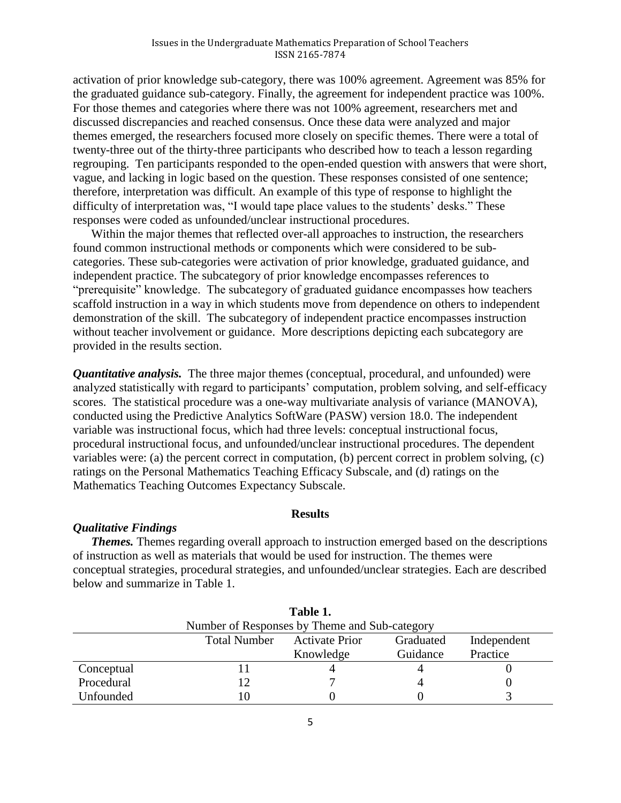activation of prior knowledge sub-category, there was 100% agreement. Agreement was 85% for the graduated guidance sub-category. Finally, the agreement for independent practice was 100%. For those themes and categories where there was not 100% agreement, researchers met and discussed discrepancies and reached consensus. Once these data were analyzed and major themes emerged, the researchers focused more closely on specific themes. There were a total of twenty-three out of the thirty-three participants who described how to teach a lesson regarding regrouping. Ten participants responded to the open-ended question with answers that were short, vague, and lacking in logic based on the question. These responses consisted of one sentence; therefore, interpretation was difficult. An example of this type of response to highlight the difficulty of interpretation was, "I would tape place values to the students' desks." These responses were coded as unfounded/unclear instructional procedures.

Within the major themes that reflected over-all approaches to instruction, the researchers found common instructional methods or components which were considered to be subcategories. These sub-categories were activation of prior knowledge, graduated guidance, and independent practice. The subcategory of prior knowledge encompasses references to "prerequisite" knowledge. The subcategory of graduated guidance encompasses how teachers scaffold instruction in a way in which students move from dependence on others to independent demonstration of the skill. The subcategory of independent practice encompasses instruction without teacher involvement or guidance. More descriptions depicting each subcategory are provided in the results section.

*Quantitative analysis.* The three major themes (conceptual, procedural, and unfounded) were analyzed statistically with regard to participants' computation, problem solving, and self-efficacy scores. The statistical procedure was a one-way multivariate analysis of variance (MANOVA), conducted using the Predictive Analytics SoftWare (PASW) version 18.0. The independent variable was instructional focus, which had three levels: conceptual instructional focus, procedural instructional focus, and unfounded/unclear instructional procedures. The dependent variables were: (a) the percent correct in computation, (b) percent correct in problem solving, (c) ratings on the Personal Mathematics Teaching Efficacy Subscale, and (d) ratings on the Mathematics Teaching Outcomes Expectancy Subscale.

## **Results**

## *Qualitative Findings*

*Themes.* Themes regarding overall approach to instruction emerged based on the descriptions of instruction as well as materials that would be used for instruction. The themes were conceptual strategies, procedural strategies, and unfounded/unclear strategies. Each are described below and summarize in Table 1.

| Table 1.                                      |                     |                       |           |             |  |  |
|-----------------------------------------------|---------------------|-----------------------|-----------|-------------|--|--|
| Number of Responses by Theme and Sub-category |                     |                       |           |             |  |  |
|                                               | <b>Total Number</b> | <b>Activate Prior</b> | Graduated | Independent |  |  |
|                                               |                     | Knowledge             | Guidance  | Practice    |  |  |
| Conceptual                                    |                     |                       |           |             |  |  |
| Procedural                                    |                     |                       |           |             |  |  |
| Unfounded                                     | l ()                |                       |           |             |  |  |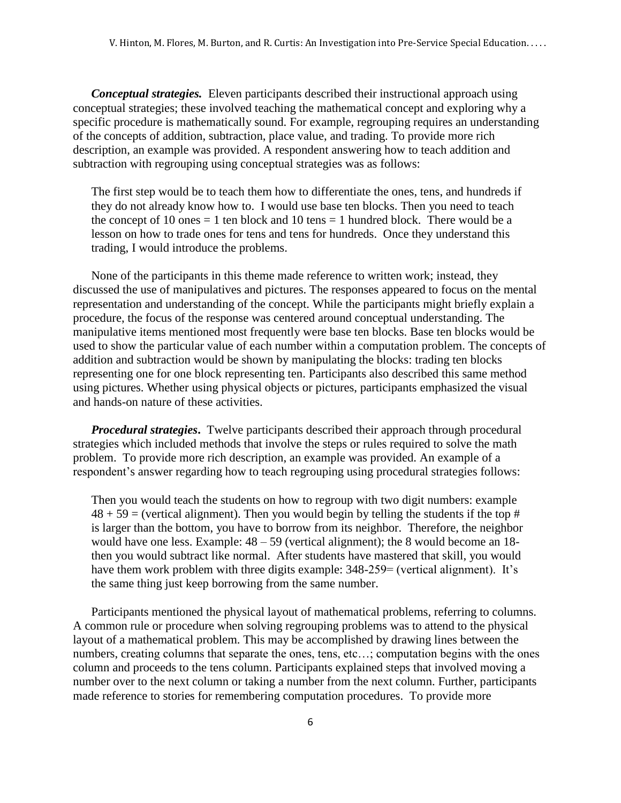*Conceptual strategies.*Eleven participants described their instructional approach using conceptual strategies; these involved teaching the mathematical concept and exploring why a specific procedure is mathematically sound. For example, regrouping requires an understanding of the concepts of addition, subtraction, place value, and trading. To provide more rich description, an example was provided. A respondent answering how to teach addition and subtraction with regrouping using conceptual strategies was as follows:

The first step would be to teach them how to differentiate the ones, tens, and hundreds if they do not already know how to. I would use base ten blocks. Then you need to teach the concept of 10 ones  $= 1$  ten block and 10 tens  $= 1$  hundred block. There would be a lesson on how to trade ones for tens and tens for hundreds. Once they understand this trading, I would introduce the problems.

None of the participants in this theme made reference to written work; instead, they discussed the use of manipulatives and pictures. The responses appeared to focus on the mental representation and understanding of the concept. While the participants might briefly explain a procedure, the focus of the response was centered around conceptual understanding. The manipulative items mentioned most frequently were base ten blocks. Base ten blocks would be used to show the particular value of each number within a computation problem. The concepts of addition and subtraction would be shown by manipulating the blocks: trading ten blocks representing one for one block representing ten. Participants also described this same method using pictures. Whether using physical objects or pictures, participants emphasized the visual and hands-on nature of these activities.

*Procedural strategies*. Twelve participants described their approach through procedural strategies which included methods that involve the steps or rules required to solve the math problem. To provide more rich description, an example was provided. An example of a respondent's answer regarding how to teach regrouping using procedural strategies follows:

Then you would teach the students on how to regroup with two digit numbers: example  $48 + 59$  = (vertical alignment). Then you would begin by telling the students if the top # is larger than the bottom, you have to borrow from its neighbor. Therefore, the neighbor would have one less. Example:  $48 - 59$  (vertical alignment); the 8 would become an 18then you would subtract like normal. After students have mastered that skill, you would have them work problem with three digits example: 348-259= (vertical alignment). It's the same thing just keep borrowing from the same number.

Participants mentioned the physical layout of mathematical problems, referring to columns. A common rule or procedure when solving regrouping problems was to attend to the physical layout of a mathematical problem. This may be accomplished by drawing lines between the numbers, creating columns that separate the ones, tens, etc...; computation begins with the ones column and proceeds to the tens column. Participants explained steps that involved moving a number over to the next column or taking a number from the next column. Further, participants made reference to stories for remembering computation procedures. To provide more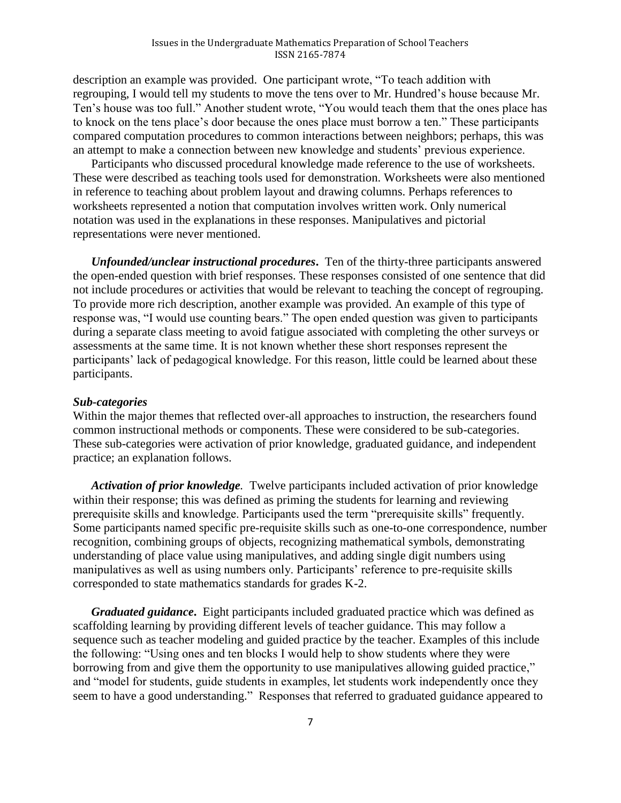description an example was provided. One participant wrote, "To teach addition with regrouping, I would tell my students to move the tens over to Mr. Hundred's house because Mr. Ten's house was too full." Another student wrote, "You would teach them that the ones place has to knock on the tens place's door because the ones place must borrow a ten." These participants compared computation procedures to common interactions between neighbors; perhaps, this was an attempt to make a connection between new knowledge and students' previous experience.

Participants who discussed procedural knowledge made reference to the use of worksheets. These were described as teaching tools used for demonstration. Worksheets were also mentioned in reference to teaching about problem layout and drawing columns. Perhaps references to worksheets represented a notion that computation involves written work. Only numerical notation was used in the explanations in these responses. Manipulatives and pictorial representations were never mentioned.

*Unfounded/unclear instructional procedures***.** Ten of the thirty-three participants answered the open-ended question with brief responses. These responses consisted of one sentence that did not include procedures or activities that would be relevant to teaching the concept of regrouping. To provide more rich description, another example was provided. An example of this type of response was, "I would use counting bears." The open ended question was given to participants during a separate class meeting to avoid fatigue associated with completing the other surveys or assessments at the same time. It is not known whether these short responses represent the participants' lack of pedagogical knowledge. For this reason, little could be learned about these participants.

## *Sub-categories*

Within the major themes that reflected over-all approaches to instruction, the researchers found common instructional methods or components. These were considered to be sub-categories. These sub-categories were activation of prior knowledge, graduated guidance, and independent practice; an explanation follows.

*Activation of prior knowledge.* Twelve participants included activation of prior knowledge within their response; this was defined as priming the students for learning and reviewing prerequisite skills and knowledge. Participants used the term "prerequisite skills" frequently. Some participants named specific pre-requisite skills such as one-to-one correspondence, number recognition, combining groups of objects, recognizing mathematical symbols, demonstrating understanding of place value using manipulatives, and adding single digit numbers using manipulatives as well as using numbers only. Participants' reference to pre-requisite skills corresponded to state mathematics standards for grades K-2.

*Graduated guidance***.** Eight participants included graduated practice which was defined as scaffolding learning by providing different levels of teacher guidance. This may follow a sequence such as teacher modeling and guided practice by the teacher. Examples of this include the following: "Using ones and ten blocks I would help to show students where they were borrowing from and give them the opportunity to use manipulatives allowing guided practice," and "model for students, guide students in examples, let students work independently once they seem to have a good understanding." Responses that referred to graduated guidance appeared to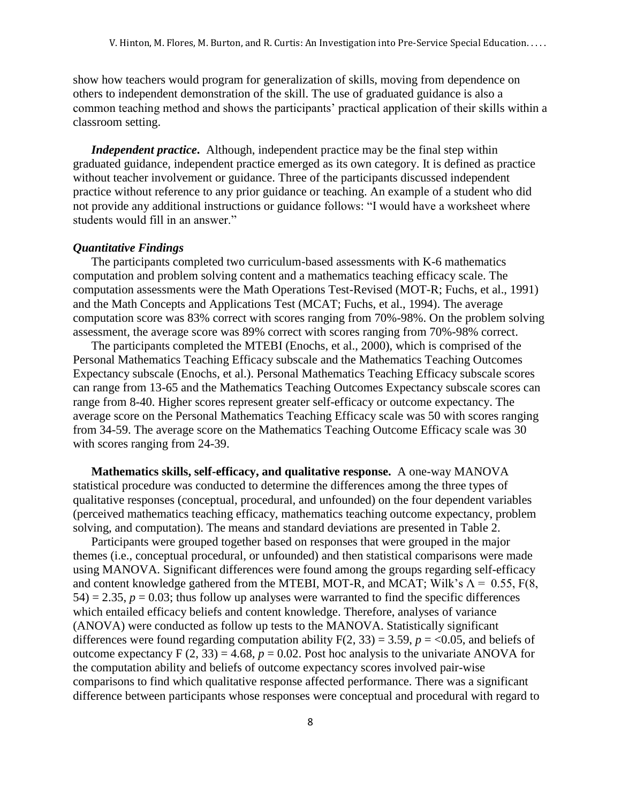show how teachers would program for generalization of skills, moving from dependence on others to independent demonstration of the skill. The use of graduated guidance is also a common teaching method and shows the participants' practical application of their skills within a classroom setting.

*Independent practice***.** Although, independent practice may be the final step within graduated guidance, independent practice emerged as its own category. It is defined as practice without teacher involvement or guidance. Three of the participants discussed independent practice without reference to any prior guidance or teaching. An example of a student who did not provide any additional instructions or guidance follows: "I would have a worksheet where students would fill in an answer."

#### *Quantitative Findings*

The participants completed two curriculum-based assessments with K-6 mathematics computation and problem solving content and a mathematics teaching efficacy scale. The computation assessments were the Math Operations Test-Revised (MOT-R; Fuchs, et al., 1991) and the Math Concepts and Applications Test (MCAT; Fuchs, et al., 1994). The average computation score was 83% correct with scores ranging from 70%-98%. On the problem solving assessment, the average score was 89% correct with scores ranging from 70%-98% correct.

The participants completed the MTEBI (Enochs, et al., 2000), which is comprised of the Personal Mathematics Teaching Efficacy subscale and the Mathematics Teaching Outcomes Expectancy subscale (Enochs, et al.). Personal Mathematics Teaching Efficacy subscale scores can range from 13-65 and the Mathematics Teaching Outcomes Expectancy subscale scores can range from 8-40. Higher scores represent greater self-efficacy or outcome expectancy. The average score on the Personal Mathematics Teaching Efficacy scale was 50 with scores ranging from 34-59. The average score on the Mathematics Teaching Outcome Efficacy scale was 30 with scores ranging from 24-39.

**Mathematics skills, self-efficacy, and qualitative response.** A one-way MANOVA statistical procedure was conducted to determine the differences among the three types of qualitative responses (conceptual, procedural, and unfounded) on the four dependent variables (perceived mathematics teaching efficacy, mathematics teaching outcome expectancy, problem solving, and computation). The means and standard deviations are presented in Table 2.

Participants were grouped together based on responses that were grouped in the major themes (i.e., conceptual procedural, or unfounded) and then statistical comparisons were made using MANOVA. Significant differences were found among the groups regarding self-efficacy and content knowledge gathered from the MTEBI, MOT-R, and MCAT; Wilk's  $\Lambda = 0.55$ , F(8, 54) = 2.35,  $p = 0.03$ ; thus follow up analyses were warranted to find the specific differences which entailed efficacy beliefs and content knowledge. Therefore, analyses of variance (ANOVA) were conducted as follow up tests to the MANOVA. Statistically significant differences were found regarding computation ability  $F(2, 33) = 3.59$ ,  $p = 0.05$ , and beliefs of outcome expectancy  $F(2, 33) = 4.68$ ,  $p = 0.02$ . Post hoc analysis to the univariate ANOVA for the computation ability and beliefs of outcome expectancy scores involved pair-wise comparisons to find which qualitative response affected performance. There was a significant difference between participants whose responses were conceptual and procedural with regard to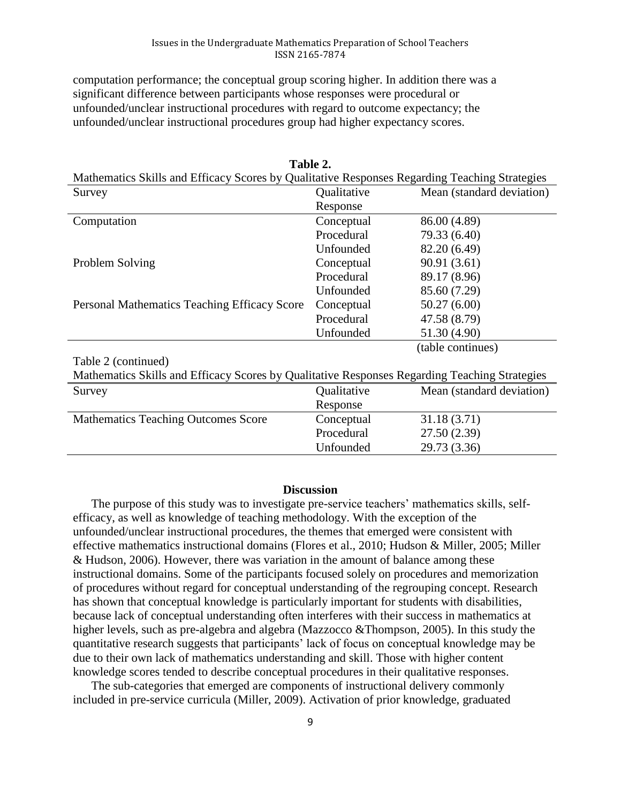computation performance; the conceptual group scoring higher. In addition there was a significant difference between participants whose responses were procedural or unfounded/unclear instructional procedures with regard to outcome expectancy; the unfounded/unclear instructional procedures group had higher expectancy scores.

| Mathematics Skills and Efficacy Scores by Qualitative Responses Regarding Teaching Strategies |             |                           |  |  |  |
|-----------------------------------------------------------------------------------------------|-------------|---------------------------|--|--|--|
| Survey                                                                                        | Qualitative | Mean (standard deviation) |  |  |  |
|                                                                                               | Response    |                           |  |  |  |
| Computation                                                                                   | Conceptual  | 86.00 (4.89)              |  |  |  |
|                                                                                               | Procedural  | 79.33 (6.40)              |  |  |  |
|                                                                                               | Unfounded   | 82.20 (6.49)              |  |  |  |
| Problem Solving                                                                               | Conceptual  | 90.91 (3.61)              |  |  |  |
|                                                                                               | Procedural  | 89.17 (8.96)              |  |  |  |
|                                                                                               | Unfounded   | 85.60 (7.29)              |  |  |  |
| <b>Personal Mathematics Teaching Efficacy Score</b>                                           | Conceptual  | 50.27(6.00)               |  |  |  |
|                                                                                               | Procedural  | 47.58 (8.79)              |  |  |  |
|                                                                                               | Unfounded   | 51.30 (4.90)              |  |  |  |
|                                                                                               |             | (table continues)         |  |  |  |
| Table 2 (continued)                                                                           |             |                           |  |  |  |
| Mathematics Skills and Efficacy Scores by Qualitative Responses Regarding Teaching Strategies |             |                           |  |  |  |
| Survey                                                                                        | Qualitative | Mean (standard deviation) |  |  |  |

**Table 2.**

| Matternatics SKIIIs and Efficacy Scores by Quantative Responses Regarding Teaching Strategies |             |                           |  |  |
|-----------------------------------------------------------------------------------------------|-------------|---------------------------|--|--|
| Survey                                                                                        | Qualitative | Mean (standard deviation) |  |  |
|                                                                                               | Response    |                           |  |  |
| <b>Mathematics Teaching Outcomes Score</b>                                                    | Conceptual  | 31.18(3.71)               |  |  |
|                                                                                               | Procedural  | 27.50(2.39)               |  |  |
|                                                                                               | Unfounded   | 29.73 (3.36)              |  |  |
|                                                                                               |             |                           |  |  |

## **Discussion**

The purpose of this study was to investigate pre-service teachers' mathematics skills, selfefficacy, as well as knowledge of teaching methodology. With the exception of the unfounded/unclear instructional procedures, the themes that emerged were consistent with effective mathematics instructional domains (Flores et al., 2010; Hudson & Miller, 2005; Miller & Hudson, 2006). However, there was variation in the amount of balance among these instructional domains. Some of the participants focused solely on procedures and memorization of procedures without regard for conceptual understanding of the regrouping concept. Research has shown that conceptual knowledge is particularly important for students with disabilities, because lack of conceptual understanding often interferes with their success in mathematics at higher levels, such as pre-algebra and algebra (Mazzocco &Thompson, 2005). In this study the quantitative research suggests that participants' lack of focus on conceptual knowledge may be due to their own lack of mathematics understanding and skill. Those with higher content knowledge scores tended to describe conceptual procedures in their qualitative responses.

The sub-categories that emerged are components of instructional delivery commonly included in pre-service curricula (Miller, 2009). Activation of prior knowledge, graduated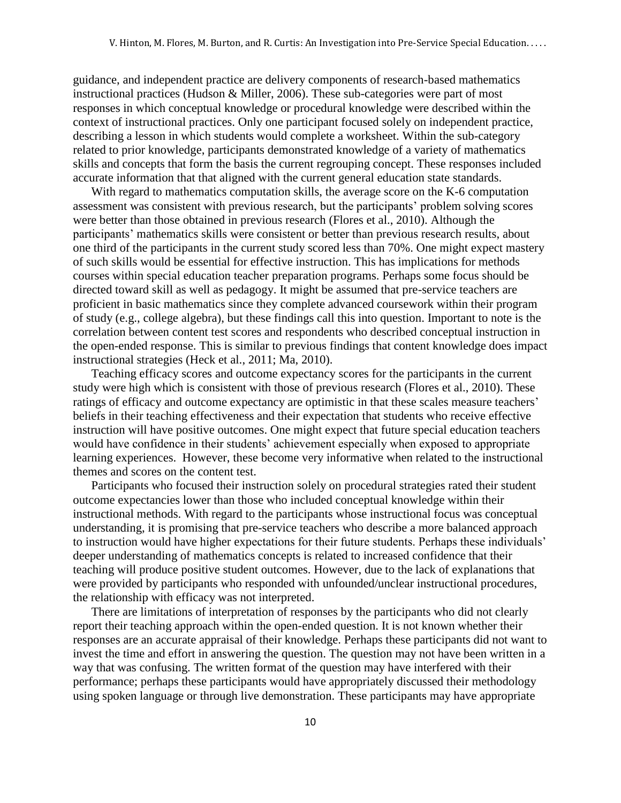guidance, and independent practice are delivery components of research-based mathematics instructional practices (Hudson & Miller, 2006). These sub-categories were part of most responses in which conceptual knowledge or procedural knowledge were described within the context of instructional practices. Only one participant focused solely on independent practice, describing a lesson in which students would complete a worksheet. Within the sub-category related to prior knowledge, participants demonstrated knowledge of a variety of mathematics skills and concepts that form the basis the current regrouping concept. These responses included accurate information that that aligned with the current general education state standards.

With regard to mathematics computation skills, the average score on the K-6 computation assessment was consistent with previous research, but the participants' problem solving scores were better than those obtained in previous research (Flores et al., 2010). Although the participants' mathematics skills were consistent or better than previous research results, about one third of the participants in the current study scored less than 70%. One might expect mastery of such skills would be essential for effective instruction. This has implications for methods courses within special education teacher preparation programs. Perhaps some focus should be directed toward skill as well as pedagogy. It might be assumed that pre-service teachers are proficient in basic mathematics since they complete advanced coursework within their program of study (e.g., college algebra), but these findings call this into question. Important to note is the correlation between content test scores and respondents who described conceptual instruction in the open-ended response. This is similar to previous findings that content knowledge does impact instructional strategies (Heck et al., 2011; Ma, 2010).

Teaching efficacy scores and outcome expectancy scores for the participants in the current study were high which is consistent with those of previous research (Flores et al., 2010). These ratings of efficacy and outcome expectancy are optimistic in that these scales measure teachers' beliefs in their teaching effectiveness and their expectation that students who receive effective instruction will have positive outcomes. One might expect that future special education teachers would have confidence in their students' achievement especially when exposed to appropriate learning experiences. However, these become very informative when related to the instructional themes and scores on the content test.

Participants who focused their instruction solely on procedural strategies rated their student outcome expectancies lower than those who included conceptual knowledge within their instructional methods. With regard to the participants whose instructional focus was conceptual understanding, it is promising that pre-service teachers who describe a more balanced approach to instruction would have higher expectations for their future students. Perhaps these individuals' deeper understanding of mathematics concepts is related to increased confidence that their teaching will produce positive student outcomes. However, due to the lack of explanations that were provided by participants who responded with unfounded/unclear instructional procedures, the relationship with efficacy was not interpreted.

There are limitations of interpretation of responses by the participants who did not clearly report their teaching approach within the open-ended question. It is not known whether their responses are an accurate appraisal of their knowledge. Perhaps these participants did not want to invest the time and effort in answering the question. The question may not have been written in a way that was confusing. The written format of the question may have interfered with their performance; perhaps these participants would have appropriately discussed their methodology using spoken language or through live demonstration. These participants may have appropriate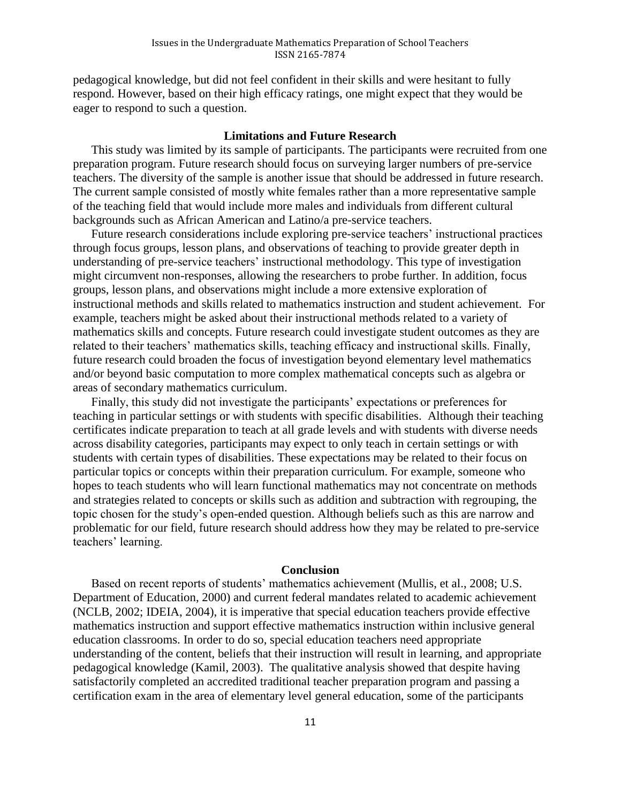pedagogical knowledge, but did not feel confident in their skills and were hesitant to fully respond. However, based on their high efficacy ratings, one might expect that they would be eager to respond to such a question.

## **Limitations and Future Research**

This study was limited by its sample of participants. The participants were recruited from one preparation program. Future research should focus on surveying larger numbers of pre-service teachers. The diversity of the sample is another issue that should be addressed in future research. The current sample consisted of mostly white females rather than a more representative sample of the teaching field that would include more males and individuals from different cultural backgrounds such as African American and Latino/a pre-service teachers.

Future research considerations include exploring pre-service teachers' instructional practices through focus groups, lesson plans, and observations of teaching to provide greater depth in understanding of pre-service teachers' instructional methodology. This type of investigation might circumvent non-responses, allowing the researchers to probe further. In addition, focus groups, lesson plans, and observations might include a more extensive exploration of instructional methods and skills related to mathematics instruction and student achievement. For example, teachers might be asked about their instructional methods related to a variety of mathematics skills and concepts. Future research could investigate student outcomes as they are related to their teachers' mathematics skills, teaching efficacy and instructional skills. Finally, future research could broaden the focus of investigation beyond elementary level mathematics and/or beyond basic computation to more complex mathematical concepts such as algebra or areas of secondary mathematics curriculum.

Finally, this study did not investigate the participants' expectations or preferences for teaching in particular settings or with students with specific disabilities. Although their teaching certificates indicate preparation to teach at all grade levels and with students with diverse needs across disability categories, participants may expect to only teach in certain settings or with students with certain types of disabilities. These expectations may be related to their focus on particular topics or concepts within their preparation curriculum. For example, someone who hopes to teach students who will learn functional mathematics may not concentrate on methods and strategies related to concepts or skills such as addition and subtraction with regrouping, the topic chosen for the study's open-ended question. Although beliefs such as this are narrow and problematic for our field, future research should address how they may be related to pre-service teachers' learning.

#### **Conclusion**

Based on recent reports of students' mathematics achievement (Mullis, et al., 2008; U.S. Department of Education, 2000) and current federal mandates related to academic achievement (NCLB, 2002; IDEIA, 2004), it is imperative that special education teachers provide effective mathematics instruction and support effective mathematics instruction within inclusive general education classrooms. In order to do so, special education teachers need appropriate understanding of the content, beliefs that their instruction will result in learning, and appropriate pedagogical knowledge (Kamil, 2003). The qualitative analysis showed that despite having satisfactorily completed an accredited traditional teacher preparation program and passing a certification exam in the area of elementary level general education, some of the participants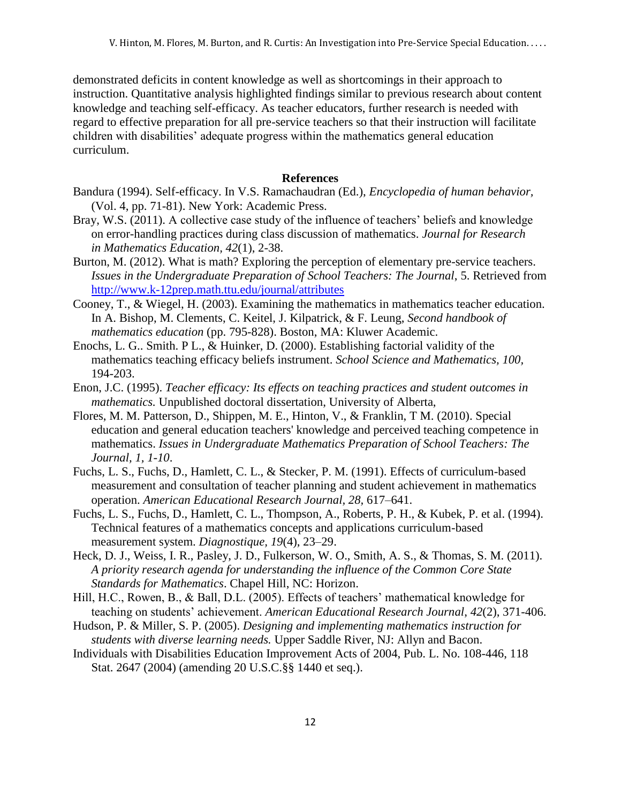demonstrated deficits in content knowledge as well as shortcomings in their approach to instruction. Quantitative analysis highlighted findings similar to previous research about content knowledge and teaching self-efficacy. As teacher educators, further research is needed with regard to effective preparation for all pre-service teachers so that their instruction will facilitate children with disabilities' adequate progress within the mathematics general education curriculum.

## **References**

- Bandura (1994). Self-efficacy. In V.S. Ramachaudran (Ed.), *Encyclopedia of human behavior,*  (Vol. 4, pp. 71-81). New York: Academic Press.
- Bray, W.S. (2011). A collective case study of the influence of teachers' beliefs and knowledge on error-handling practices during class discussion of mathematics. *Journal for Research in Mathematics Education, 42*(1), 2-38.
- Burton, M. (2012). What is math? Exploring the perception of elementary pre-service teachers. *Issues in the Undergraduate Preparation of School Teachers: The Journal*, 5. Retrieved from <http://www.k-12prep.math.ttu.edu/journal/attributes>
- Cooney, T., & Wiegel, H. (2003). Examining the mathematics in mathematics teacher education. In A. Bishop, M. Clements, C. Keitel, J. Kilpatrick, & F. Leung, *Second handbook of mathematics education* (pp. 795-828). Boston, MA: Kluwer Academic.
- Enochs, L. G.. Smith. P L., & Huinker, D. (2000). Establishing factorial validity of the mathematics teaching efficacy beliefs instrument. *School Science and Mathematics, 100,*  194-203.
- Enon, J.C. (1995). *Teacher efficacy: Its effects on teaching practices and student outcomes in mathematics.* Unpublished doctoral dissertation, University of Alberta,
- Flores, M. M. Patterson, D., Shippen, M. E., Hinton, V., & Franklin, T M. (2010). Special education and general education teachers' knowledge and perceived teaching competence in mathematics. *Issues in Undergraduate Mathematics Preparation of School Teachers: The Journal, 1, 1-10*.
- Fuchs, L. S., Fuchs, D., Hamlett, C. L., & Stecker, P. M. (1991). Effects of curriculum-based measurement and consultation of teacher planning and student achievement in mathematics operation. *American Educational Research Journal, 28,* 617–641.
- Fuchs, L. S., Fuchs, D., Hamlett, C. L., Thompson, A., Roberts, P. H., & Kubek, P. et al. (1994). Technical features of a mathematics concepts and applications curriculum-based measurement system. *Diagnostique, 19*(4), 23–29.
- Heck, D. J., Weiss, I. R., Pasley, J. D., Fulkerson, W. O., Smith, A. S., & Thomas, S. M. (2011). *A priority research agenda for understanding the influence of the Common Core State Standards for Mathematics*. Chapel Hill, NC: Horizon.
- Hill, H.C., Rowen, B., & Ball, D.L. (2005). Effects of teachers' mathematical knowledge for teaching on students' achievement. *American Educational Research Journal*, *42*(2), 371-406.
- Hudson, P. & Miller, S. P. (2005). *Designing and implementing mathematics instruction for students with diverse learning needs.* Upper Saddle River, NJ: Allyn and Bacon.
- Individuals with Disabilities Education Improvement Acts of 2004, Pub. L. No. 108-446, 118 Stat. 2647 (2004) (amending 20 U.S.C.§§ 1440 et seq.).